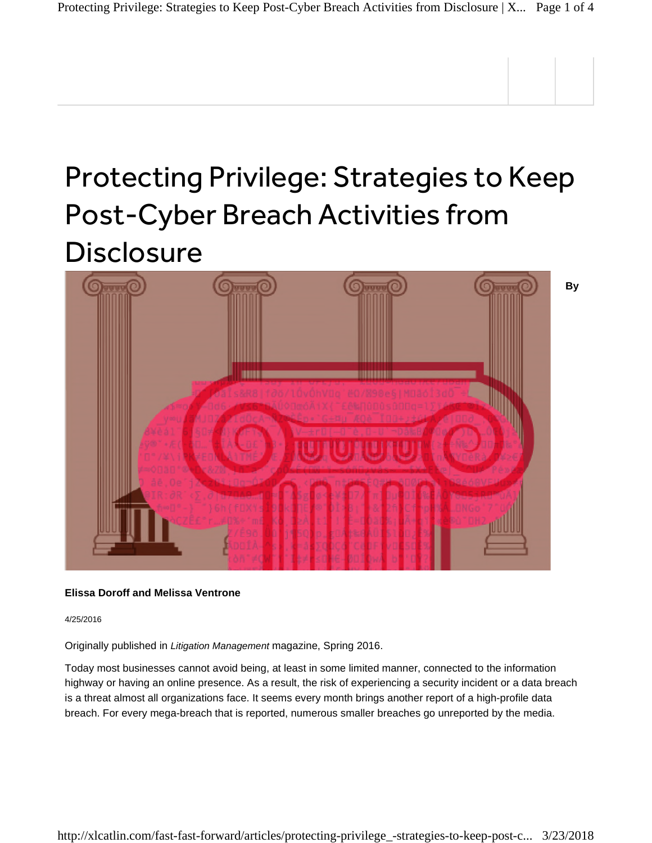# Protecting Privilege: Strategies to Keep Post-Cyber Breach Activities from **Disclosure**



## **Elissa Doroff and Melissa Ventrone**

4/25/2016

Originally published in *Litigation Management* magazine, Spring 2016.

Today most businesses cannot avoid being, at least in some limited manner, connected to the information highway or having an online presence. As a result, the risk of experiencing a security incident or a data breach is a threat almost all organizations face. It seems every month brings another report of a high-profile data breach. For every mega-breach that is reported, numerous smaller breaches go unreported by the media.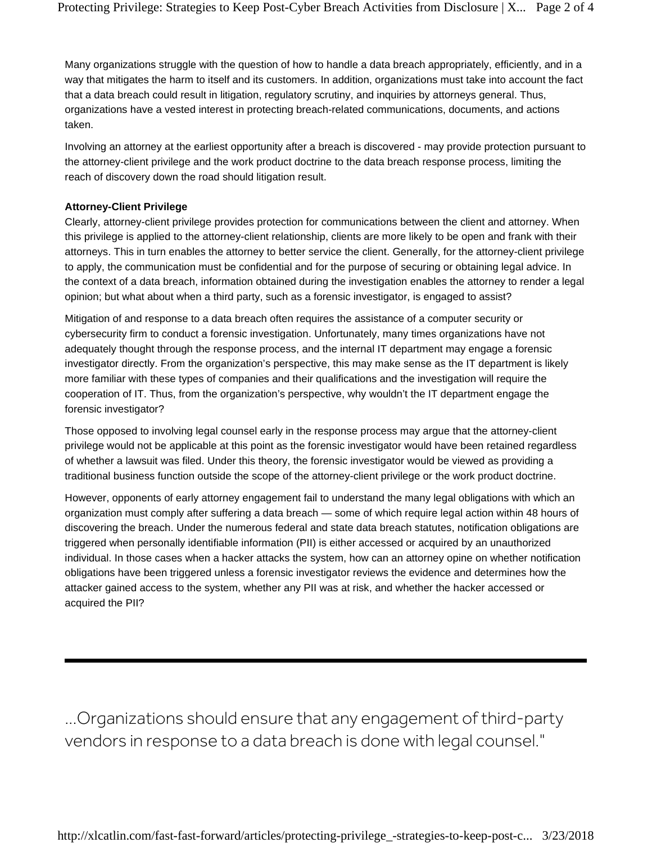Many organizations struggle with the question of how to handle a data breach appropriately, efficiently, and in a way that mitigates the harm to itself and its customers. In addition, organizations must take into account the fact that a data breach could result in litigation, regulatory scrutiny, and inquiries by attorneys general. Thus, organizations have a vested interest in protecting breach-related communications, documents, and actions taken.

Involving an attorney at the earliest opportunity after a breach is discovered - may provide protection pursuant to the attorney-client privilege and the work product doctrine to the data breach response process, limiting the reach of discovery down the road should litigation result.

## **Attorney-Client Privilege**

Clearly, attorney-client privilege provides protection for communications between the client and attorney. When this privilege is applied to the attorney-client relationship, clients are more likely to be open and frank with their attorneys. This in turn enables the attorney to better service the client. Generally, for the attorney-client privilege to apply, the communication must be confidential and for the purpose of securing or obtaining legal advice. In the context of a data breach, information obtained during the investigation enables the attorney to render a legal opinion; but what about when a third party, such as a forensic investigator, is engaged to assist?

Mitigation of and response to a data breach often requires the assistance of a computer security or cybersecurity firm to conduct a forensic investigation. Unfortunately, many times organizations have not adequately thought through the response process, and the internal IT department may engage a forensic investigator directly. From the organization's perspective, this may make sense as the IT department is likely more familiar with these types of companies and their qualifications and the investigation will require the cooperation of IT. Thus, from the organization's perspective, why wouldn't the IT department engage the forensic investigator?

Those opposed to involving legal counsel early in the response process may argue that the attorney-client privilege would not be applicable at this point as the forensic investigator would have been retained regardless of whether a lawsuit was filed. Under this theory, the forensic investigator would be viewed as providing a traditional business function outside the scope of the attorney-client privilege or the work product doctrine.

However, opponents of early attorney engagement fail to understand the many legal obligations with which an organization must comply after suffering a data breach — some of which require legal action within 48 hours of discovering the breach. Under the numerous federal and state data breach statutes, notification obligations are triggered when personally identifiable information (PII) is either accessed or acquired by an unauthorized individual. In those cases when a hacker attacks the system, how can an attorney opine on whether notification obligations have been triggered unless a forensic investigator reviews the evidence and determines how the attacker gained access to the system, whether any PII was at risk, and whether the hacker accessed or acquired the PII?

...Organizations should ensure that any engagement of third-party vendors in response to a data breach is done with legal counsel."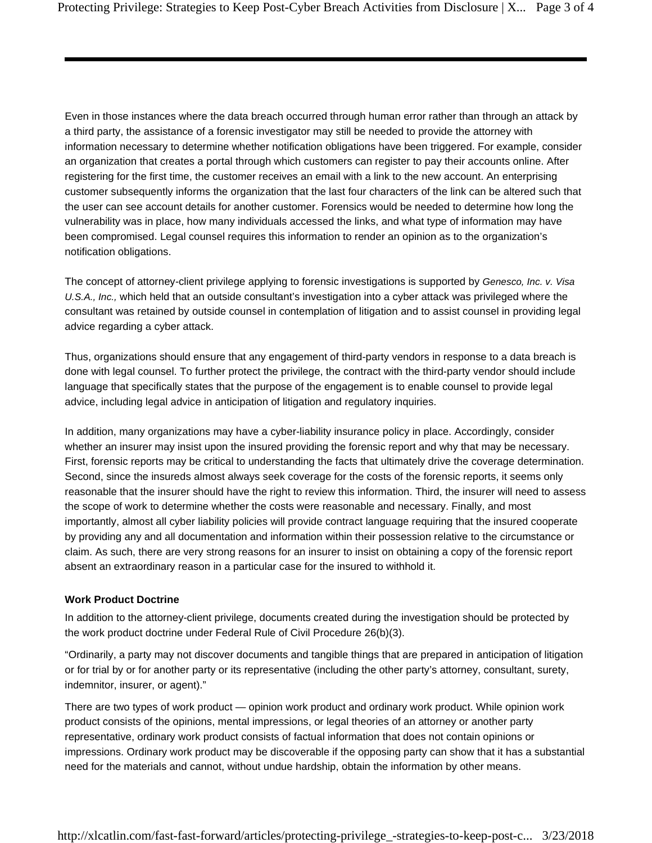Even in those instances where the data breach occurred through human error rather than through an attack by a third party, the assistance of a forensic investigator may still be needed to provide the attorney with information necessary to determine whether notification obligations have been triggered. For example, consider an organization that creates a portal through which customers can register to pay their accounts online. After registering for the first time, the customer receives an email with a link to the new account. An enterprising customer subsequently informs the organization that the last four characters of the link can be altered such that the user can see account details for another customer. Forensics would be needed to determine how long the vulnerability was in place, how many individuals accessed the links, and what type of information may have been compromised. Legal counsel requires this information to render an opinion as to the organization's notification obligations.

The concept of attorney-client privilege applying to forensic investigations is supported by *Genesco, Inc. v. Visa U.S.A., Inc.,* which held that an outside consultant's investigation into a cyber attack was privileged where the consultant was retained by outside counsel in contemplation of litigation and to assist counsel in providing legal advice regarding a cyber attack.

Thus, organizations should ensure that any engagement of third-party vendors in response to a data breach is done with legal counsel. To further protect the privilege, the contract with the third-party vendor should include language that specifically states that the purpose of the engagement is to enable counsel to provide legal advice, including legal advice in anticipation of litigation and regulatory inquiries.

In addition, many organizations may have a cyber-liability insurance policy in place. Accordingly, consider whether an insurer may insist upon the insured providing the forensic report and why that may be necessary. First, forensic reports may be critical to understanding the facts that ultimately drive the coverage determination. Second, since the insureds almost always seek coverage for the costs of the forensic reports, it seems only reasonable that the insurer should have the right to review this information. Third, the insurer will need to assess the scope of work to determine whether the costs were reasonable and necessary. Finally, and most importantly, almost all cyber liability policies will provide contract language requiring that the insured cooperate by providing any and all documentation and information within their possession relative to the circumstance or claim. As such, there are very strong reasons for an insurer to insist on obtaining a copy of the forensic report absent an extraordinary reason in a particular case for the insured to withhold it.

## **Work Product Doctrine**

In addition to the attorney-client privilege, documents created during the investigation should be protected by the work product doctrine under Federal Rule of Civil Procedure 26(b)(3).

"Ordinarily, a party may not discover documents and tangible things that are prepared in anticipation of litigation or for trial by or for another party or its representative (including the other party's attorney, consultant, surety, indemnitor, insurer, or agent)."

There are two types of work product — opinion work product and ordinary work product. While opinion work product consists of the opinions, mental impressions, or legal theories of an attorney or another party representative, ordinary work product consists of factual information that does not contain opinions or impressions. Ordinary work product may be discoverable if the opposing party can show that it has a substantial need for the materials and cannot, without undue hardship, obtain the information by other means.